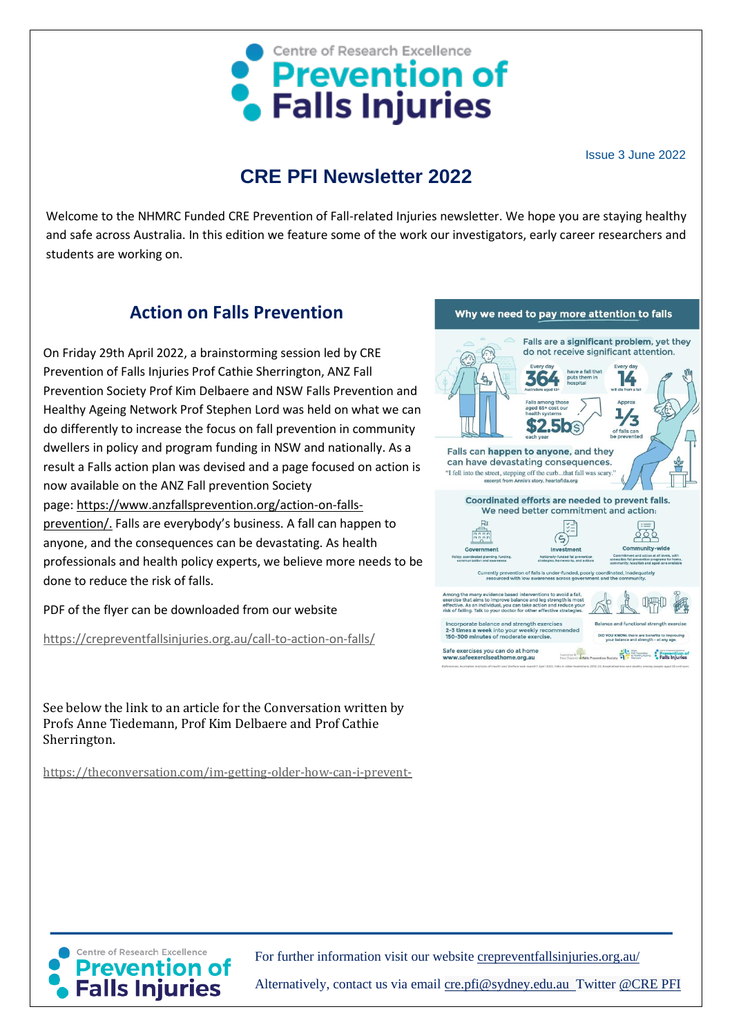

Issue 3 June 2022

# **CRE PFI Newsletter 2022**

Welcome to the NHMRC Funded CRE Prevention of Fall-related Injuries newsletter. We hope you are staying healthy and safe across Australia. In this edition we feature some of the work our investigators, early career researchers and students are working on.

### **Action on Falls Prevention**

On Friday 29th April 2022, a brainstorming session led by CRE Prevention of Falls Injuries Prof Cathie Sherrington, ANZ Fall Prevention Society Prof Kim Delbaere and NSW Falls Prevention and Healthy Ageing Network Prof Stephen Lord was held on what we can do differently to increase the focus on fall prevention in community dwellers in policy and program funding in NSW and nationally. As a result a Falls action plan was devised and a page focused on action is now available on the ANZ Fall prevention Society page: [https://www.anzfallsprevention.org/action-on-falls](https://www.anzfallsprevention.org/action-on-falls-prevention/)[prevention/.](https://www.anzfallsprevention.org/action-on-falls-prevention/) Falls are everybody's business. A fall can happen to

anyone, and the consequences can be devastating. As health professionals and health policy experts, we believe more needs to be done to reduce the risk of falls.

PDF of the flyer can be downloaded from our website

<https://crepreventfallsinjuries.org.au/call-to-action-on-falls/>

See below the link to an article for the Conversation written by Profs Anne Tiedemann, Prof Kim Delbaere and Prof Cathie Sherrington.

[https://theconversation.com/im-getting-older-how-can-i-prevent-](https://theconversation.com/im-getting-older-how-can-i-prevent-falls-182043)





For further information visit our website [crepreventfallsinjuries.org.au/](https://crepreventfallsinjuries.org.au/)

Alternatively, contact us via email cre.pfi@sydney.edu.au\_Twitter @CRE PFI